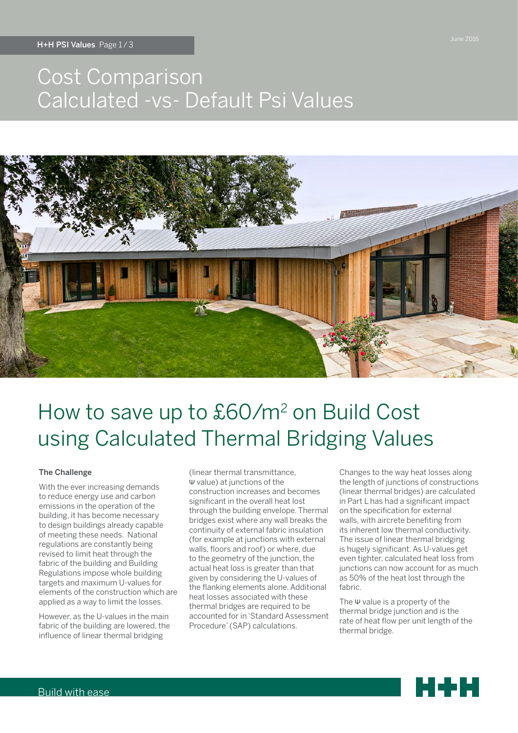## Cost Comparison Calculated -vs- Default Psi Values



# How to save up to £60/m2 on Build Cost using Calculated Thermal Bridging Values

### The Challenge

With the ever increasing demands to reduce energy use and carbon emissions in the operation of the building, it has become necessary to design buildings already capable of meeting these needs. National regulations are constantly being revised to limit heat through the fabric of the building and Building Regulations impose whole building targets and maximum U-values for elements of the construction which are applied as a way to limit the losses.

However, as the U-values in the main fabric of the building are lowered, the influence of linear thermal bridging

(linear thermal transmittance, Ψ value) at junctions of the construction increases and becomes significant in the overall heat lost through the building envelope. Thermal bridges exist where any wall breaks the continuity of external fabric insulation (for example at junctions with external walls, floors and roof) or where, due to the geometry of the junction, the actual heat loss is greater than that given by considering the U-values of the flanking elements alone. Additional heat losses associated with these thermal bridges are required to be accounted for in 'Standard Assessment Procedure' (SAP) calculations.

Changes to the way heat losses along the length of junctions of constructions (linear thermal bridges) are calculated in Part L has had a significant impact on the specification for external walls, with aircrete benefiting from its inherent low thermal conductivity. The issue of linear thermal bridging is hugely significant. As U-values get even tighter, calculated heat loss from junctions can now account for as much as 50% of the heat lost through the fabric.

The Ψ value is a property of the thermal bridge junction and is the rate of heat flow per unit length of the thermal bridge.

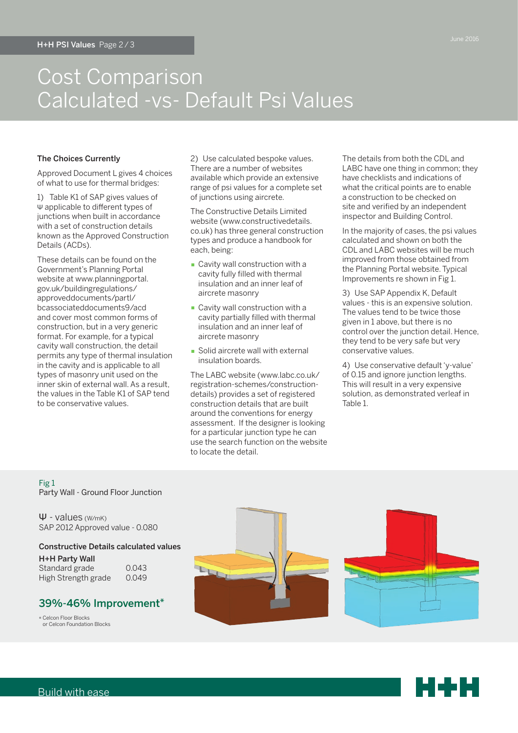### Cost Comparison Calculated -vs- Default Psi Values

### The Choices Currently

Approved Document L gives 4 choices of what to use for thermal bridges:

1) Table K1 of SAP gives values of Ψ applicable to different types of junctions when built in accordance with a set of construction details known as the Approved Construction Details (ACDs).

These details can be found on the Government's Planning Portal website at www.planningportal. gov.uk/buildingregulations/ approveddocuments/partl/ bcassociateddocuments9/acd and cover most common forms of construction, but in a very generic format. For example, for a typical cavity wall construction, the detail permits any type of thermal insulation in the cavity and is applicable to all types of masonry unit used on the inner skin of external wall. As a result, the values in the Table K1 of SAP tend to be conservative values.

2) Use calculated bespoke values. There are a number of websites available which provide an extensive range of psi values for a complete set of junctions using aircrete.

The Constructive Details Limited website (www.constructivedetails. co.uk) has three general construction types and produce a handbook for each, being:

- Cavity wall construction with a cavity fully filled with thermal insulation and an inner leaf of aircrete masonry
- Cavity wall construction with a cavity partially filled with thermal insulation and an inner leaf of aircrete masonry
- **Solid aircrete wall with external** insulation boards.

The LABC website (www.labc.co.uk/ registration-schemes/constructiondetails) provides a set of registered construction details that are built around the conventions for energy assessment. If the designer is looking for a particular junction type he can use the search function on the website to locate the detail.

The details from both the CDL and LABC have one thing in common; they have checklists and indications of what the critical points are to enable a construction to be checked on site and verified by an independent inspector and Building Control.

In the majority of cases, the psi values calculated and shown on both the CDL and LABC websites will be much improved from those obtained from the Planning Portal website. Typical Improvements re shown in Fig 1.

3) Use SAP Appendix K, Default values - this is an expensive solution. The values tend to be twice those given in 1 above, but there is no control over the junction detail. Hence, they tend to be very safe but very conservative values.

4) Use conservative default 'y-value' of 0.15 and ignore junction lengths. This will result in a very expensive solution, as demonstrated verleaf in Table 1.

Fig 1 Party Wall - Ground Floor Junction

Ψ - values (W/mK) SAP 2012 Approved value - 0.080

Constructive Details calculated values H+H Party Wall Standard grade 0.043

High Strength grade 0.049

### 39%-46% Improvement\*

\* Celcon Floor Blocks or Celcon Foundation Blocks